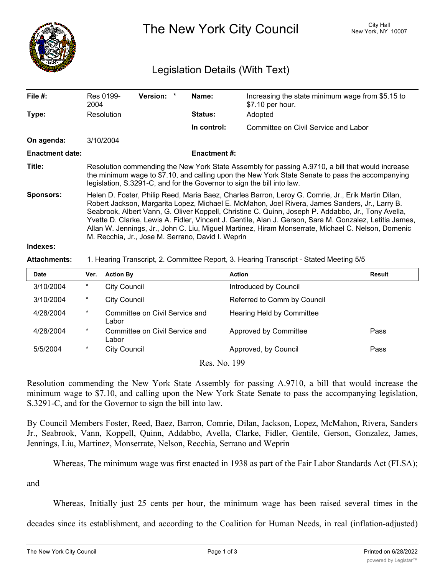

The New York City Council New York, NY 10007

## Legislation Details (With Text)

| File #:                       | 2004                                                                                                                                                                                                                                                                                                                                                                                                                                                                                                                                                                             | Res 0199-           | Version: *                                              |  | Name:              | Increasing the state minimum wage from \$5.15 to<br>\$7.10 per hour. |               |
|-------------------------------|----------------------------------------------------------------------------------------------------------------------------------------------------------------------------------------------------------------------------------------------------------------------------------------------------------------------------------------------------------------------------------------------------------------------------------------------------------------------------------------------------------------------------------------------------------------------------------|---------------------|---------------------------------------------------------|--|--------------------|----------------------------------------------------------------------|---------------|
| Type:                         |                                                                                                                                                                                                                                                                                                                                                                                                                                                                                                                                                                                  | Resolution          |                                                         |  | <b>Status:</b>     | Adopted                                                              |               |
|                               |                                                                                                                                                                                                                                                                                                                                                                                                                                                                                                                                                                                  |                     |                                                         |  | In control:        | Committee on Civil Service and Labor                                 |               |
| On agenda:                    |                                                                                                                                                                                                                                                                                                                                                                                                                                                                                                                                                                                  | 3/10/2004           |                                                         |  |                    |                                                                      |               |
| <b>Enactment date:</b>        |                                                                                                                                                                                                                                                                                                                                                                                                                                                                                                                                                                                  |                     |                                                         |  | <b>Enactment#:</b> |                                                                      |               |
| Title:                        | Resolution commending the New York State Assembly for passing A.9710, a bill that would increase<br>the minimum wage to \$7.10, and calling upon the New York State Senate to pass the accompanying<br>legislation, S.3291-C, and for the Governor to sign the bill into law.                                                                                                                                                                                                                                                                                                    |                     |                                                         |  |                    |                                                                      |               |
| <b>Sponsors:</b>              | Helen D. Foster, Philip Reed, Maria Baez, Charles Barron, Leroy G. Comrie, Jr., Erik Martin Dilan,<br>Robert Jackson, Margarita Lopez, Michael E. McMahon, Joel Rivera, James Sanders, Jr., Larry B.<br>Seabrook, Albert Vann, G. Oliver Koppell, Christine C. Quinn, Joseph P. Addabbo, Jr., Tony Avella,<br>Yvette D. Clarke, Lewis A. Fidler, Vincent J. Gentile, Alan J. Gerson, Sara M. Gonzalez, Letitia James,<br>Allan W. Jennings, Jr., John C. Liu, Miguel Martinez, Hiram Monserrate, Michael C. Nelson, Domenic<br>M. Recchia, Jr., Jose M. Serrano, David I. Weprin |                     |                                                         |  |                    |                                                                      |               |
| Indexes:                      |                                                                                                                                                                                                                                                                                                                                                                                                                                                                                                                                                                                  |                     |                                                         |  |                    |                                                                      |               |
| <b>Attachments:</b>           | 1. Hearing Transcript, 2. Committee Report, 3. Hearing Transcript - Stated Meeting 5/5                                                                                                                                                                                                                                                                                                                                                                                                                                                                                           |                     |                                                         |  |                    |                                                                      |               |
| <b>Date</b>                   | Ver.                                                                                                                                                                                                                                                                                                                                                                                                                                                                                                                                                                             | <b>Action By</b>    |                                                         |  |                    | <b>Action</b>                                                        | <b>Result</b> |
| 3/10/2004                     | $^\ast$                                                                                                                                                                                                                                                                                                                                                                                                                                                                                                                                                                          | City Council        |                                                         |  |                    | Introduced by Council                                                |               |
| 3/10/2004                     | $\star$                                                                                                                                                                                                                                                                                                                                                                                                                                                                                                                                                                          | <b>City Council</b> |                                                         |  |                    | Referred to Comm by Council                                          |               |
| 4/28/2004                     | $^\ast$                                                                                                                                                                                                                                                                                                                                                                                                                                                                                                                                                                          | Labor               | Committee on Civil Service and                          |  |                    | Hearing Held by Committee                                            |               |
| 4/28/2004                     | $^\ast$                                                                                                                                                                                                                                                                                                                                                                                                                                                                                                                                                                          | Labor               | Committee on Civil Service and<br>Approved by Committee |  |                    | Pass                                                                 |               |
| 5/5/2004                      | $\star$                                                                                                                                                                                                                                                                                                                                                                                                                                                                                                                                                                          | <b>City Council</b> |                                                         |  |                    | Approved, by Council                                                 | Pass          |
| $\mathbf{n}$ $\mathbf{v}$ 100 |                                                                                                                                                                                                                                                                                                                                                                                                                                                                                                                                                                                  |                     |                                                         |  |                    |                                                                      |               |

Res. No. 199

Resolution commending the New York State Assembly for passing A.9710, a bill that would increase the minimum wage to \$7.10, and calling upon the New York State Senate to pass the accompanying legislation, S.3291-C, and for the Governor to sign the bill into law.

By Council Members Foster, Reed, Baez, Barron, Comrie, Dilan, Jackson, Lopez, McMahon, Rivera, Sanders Jr., Seabrook, Vann, Koppell, Quinn, Addabbo, Avella, Clarke, Fidler, Gentile, Gerson, Gonzalez, James, Jennings, Liu, Martinez, Monserrate, Nelson, Recchia, Serrano and Weprin

Whereas, The minimum wage was first enacted in 1938 as part of the Fair Labor Standards Act (FLSA);

and

Whereas, Initially just 25 cents per hour, the minimum wage has been raised several times in the

decades since its establishment, and according to the Coalition for Human Needs, in real (inflation-adjusted)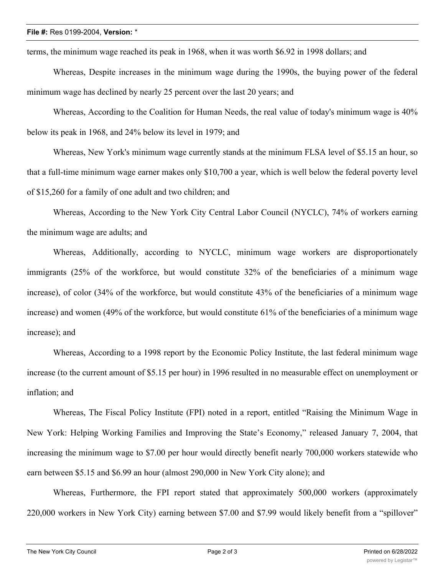## **File #:** Res 0199-2004, **Version:** \*

terms, the minimum wage reached its peak in 1968, when it was worth \$6.92 in 1998 dollars; and

Whereas, Despite increases in the minimum wage during the 1990s, the buying power of the federal minimum wage has declined by nearly 25 percent over the last 20 years; and

Whereas, According to the Coalition for Human Needs, the real value of today's minimum wage is 40% below its peak in 1968, and 24% below its level in 1979; and

Whereas, New York's minimum wage currently stands at the minimum FLSA level of \$5.15 an hour, so that a full-time minimum wage earner makes only \$10,700 a year, which is well below the federal poverty level of \$15,260 for a family of one adult and two children; and

Whereas, According to the New York City Central Labor Council (NYCLC), 74% of workers earning the minimum wage are adults; and

Whereas, Additionally, according to NYCLC, minimum wage workers are disproportionately immigrants (25% of the workforce, but would constitute 32% of the beneficiaries of a minimum wage increase), of color (34% of the workforce, but would constitute 43% of the beneficiaries of a minimum wage increase) and women (49% of the workforce, but would constitute 61% of the beneficiaries of a minimum wage increase); and

Whereas, According to a 1998 report by the Economic Policy Institute, the last federal minimum wage increase (to the current amount of \$5.15 per hour) in 1996 resulted in no measurable effect on unemployment or inflation; and

Whereas, The Fiscal Policy Institute (FPI) noted in a report, entitled "Raising the Minimum Wage in New York: Helping Working Families and Improving the State's Economy," released January 7, 2004, that increasing the minimum wage to \$7.00 per hour would directly benefit nearly 700,000 workers statewide who earn between \$5.15 and \$6.99 an hour (almost 290,000 in New York City alone); and

Whereas, Furthermore, the FPI report stated that approximately 500,000 workers (approximately 220,000 workers in New York City) earning between \$7.00 and \$7.99 would likely benefit from a "spillover"